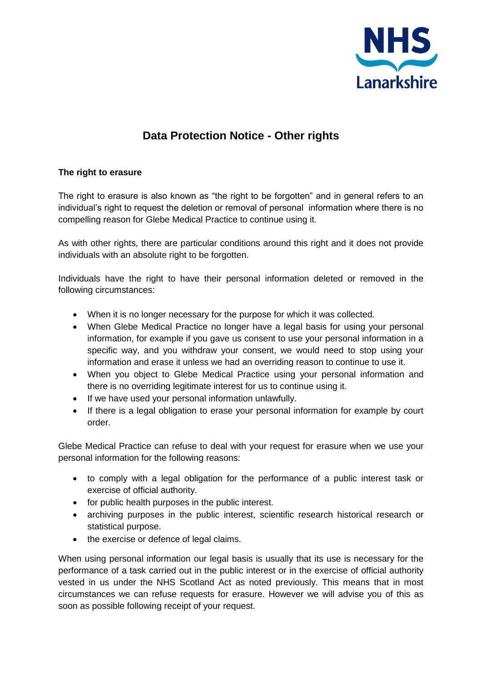

# **Data Protection Notice - Other rights**

## **The right to erasure**

The right to erasure is also known as "the right to be forgotten" and in general refers to an individual's right to request the deletion or removal of personal information where there is no compelling reason for Glebe Medical Practice to continue using it.

As with other rights, there are particular conditions around this right and it does not provide individuals with an absolute right to be forgotten.

Individuals have the right to have their personal information deleted or removed in the following circumstances:

- When it is no longer necessary for the purpose for which it was collected.
- When Glebe Medical Practice no longer have a legal basis for using your personal information, for example if you gave us consent to use your personal information in a specific way, and you withdraw your consent, we would need to stop using your information and erase it unless we had an overriding reason to continue to use it.
- When you object to Glebe Medical Practice using your personal information and there is no overriding legitimate interest for us to continue using it.
- If we have used your personal information unlawfully.
- If there is a legal obligation to erase your personal information for example by court order.

Glebe Medical Practice can refuse to deal with your request for erasure when we use your personal information for the following reasons:

- to comply with a legal obligation for the performance of a public interest task or exercise of official authority.
- for public health purposes in the public interest.
- archiving purposes in the public interest, scientific research historical research or statistical purpose.
- the exercise or defence of legal claims.

When using personal information our legal basis is usually that its use is necessary for the performance of a task carried out in the public interest or in the exercise of official authority vested in us under the NHS Scotland Act as noted previously. This means that in most circumstances we can refuse requests for erasure. However we will advise you of this as soon as possible following receipt of your request.